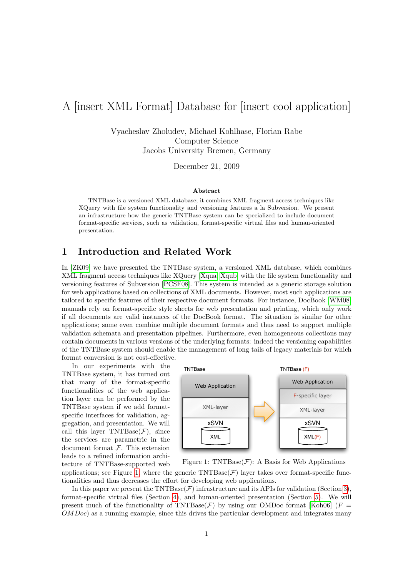# A [insert XML Format] Database for [insert cool application]

Vyacheslav Zholudev, Michael Kohlhase, Florian Rabe Computer Science Jacobs University Bremen, Germany

December 21, 2009

#### Abstract

TNTBase is a versioned XML database; it combines XML fragment access techniques like XQuery with file system functionality and versioning features a la Subversion. We present an infrastructure how the generic TNTBase system can be specialized to include document format-specific services, such as validation, format-specific virtual files and human-oriented presentation.

# 1 Introduction and Related Work

In [\[ZK09\]](#page-14-0) we have presented the TNTBase system, a versioned XML database, which combines XML fragment access techniques like XQuery [\[Xqua;](#page-14-1) [Xqub\]](#page-14-2) with the file system functionality and versioning features of Subversion [\[PCSF08\]](#page-14-3). This system is intended as a generic storage solution for web applications based on collections of XML documents. However, most such applications are tailored to specific features of their respective document formats. For instance, DocBook [\[WM08\]](#page-14-4) manuals rely on format-specific style sheets for web presentation and printing, which only work if all documents are valid instances of the DocBook format. The situation is similar for other applications; some even combine multiple document formats and thus need to support multiple validation schemata and presentation pipelines. Furthermore, even homogeneous collections may contain documents in various versions of the underlying formats: indeed the versioning capabilities of the TNTBase system should enable the management of long tails of legacy materials for which format conversion is not cost-effective.

In our experiments with the TNTBase system, it has turned out that many of the format-specific functionalities of the web application layer can be performed by the TNTBase system if we add formatspecific interfaces for validation, aggregation, and presentation. We will call this layer TNTBase $(F)$ , since the services are parametric in the document format  $F$ . This extension leads to a refined information architecture of TNTBase-supported web



<span id="page-0-0"></span>Figure 1: TNTBase $(F)$ : A Basis for Web Applications

applications; see Figure [1,](#page-0-0) where the generic  $\text{TNTBase}(\mathcal{F})$  layer takes over format-specific functionalities and thus decreases the effort for developing web applications.

In this paper we present the TNTBase( $\mathcal F$ ) infrastructure and its APIs for validation (Section [3\)](#page-3-0), format-specific virtual files (Section [4\)](#page-5-0), and human-oriented presentation (Section [5\)](#page-11-0). We will present much of the functionality of TNTBase( $\mathcal F$ ) by using our OMDoc format [\[Koh06\]](#page-14-5) ( $F =$ OMDoc) as a running example, since this drives the particular development and integrates many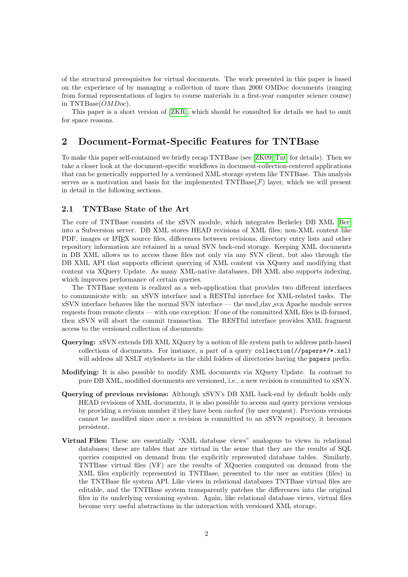of the structural prerequisites for virtual documents. The work presented in this paper is based on the experience of by managing a collection of more than 2000 OMDoc documents (ranging from formal representations of logics to course materials in a first-year computer science course) in TNTBase(OMDoc).

This paper is a short version of [\[ZKR\]](#page-14-6), which should be consulted for details we had to omit for space reasons.

### 2 Document-Format-Specific Features for TNTBase

To make this paper self-contained we briefly recap TNTBase (see [\[ZK09;](#page-14-0) [Tnt\]](#page-14-7) for details). Then we take a closer look at the document-specific workflows in document-collection-centered applications that can be generically supported by a versioned XML storage system like TNTBase. This analysis serves as a motivation and basis for the implemented  $\text{TNTBase}(\mathcal{F})$  layer, which we will present in detail in the following sections.

#### 2.1 TNTBase State of the Art

The core of TNTBase consists of the xSVN module, which integrates Berkeley DB XML [\[Ber\]](#page-13-0) into a Subversion server. DB XML stores HEAD revisions of XML files; non-XML content like PDF, images or LATEX source files, differences between revisions, directory entry lists and other repository information are retained in a usual SVN back-end storage. Keeping XML documents in DB XML allows us to access those files not only via any SVN client, but also through the DB XML API that supports efficient querying of XML content via XQuery and modifying that content via XQuery Update. As many XML-native databases, DB XML also supports indexing, which improves performance of certain queries.

The TNTBase system is realized as a web-application that provides two different interfaces to communicate with: an xSVN interface and a RESTful interface for XML-related tasks. The xSVN interface behaves like the normal SVN interface — the mod dav svn Apache module serves requests from remote clients — with one exception: If one of the committed XML files is ill-formed, then xSVN will abort the commit transaction. The RESTful interface provides XML fragment access to the versioned collection of documents:

- Querying: xSVN extends DB XML XQuery by a notion of file system path to address path-based collections of documents. For instance, a part of a query collection(//papers\*/\*.xsl) will address all XSLT stylesheets in the child folders of directories having the **papers** prefix.
- Modifying: It is also possible to modify XML documents via XQuery Update. In contrast to pure DB XML, modified documents are versioned, i.e., a new revision is committed to xSVN.
- Querying of previous revisions: Although xSVN's DB XML back-end by default holds only HEAD revisions of XML documents, it is also possible to access and query previous versions by providing a revision number if they have been cached (by user request). Previous versions cannot be modified since once a revision is committed to an xSVN repository, it becomes persistent.
- Virtual Files: These are essentially "XML database views" analogous to views in relational databases; these are tables that are virtual in the sense that they are the results of SQL queries computed on demand from the explicitly represented database tables. Similarly, TNTBase virtual files (VF) are the results of XQueries computed on demand from the XML files explicitly represented in TNTBase, presented to the user as entities (files) in the TNTBase file system API. Like views in relational databases TNTBase virtual files are editable, and the TNTBase system transparently patches the differences into the original files in its underlying versioning system. Again, like relational database views, virtual files become very useful abstractions in the interaction with versioned XML storage.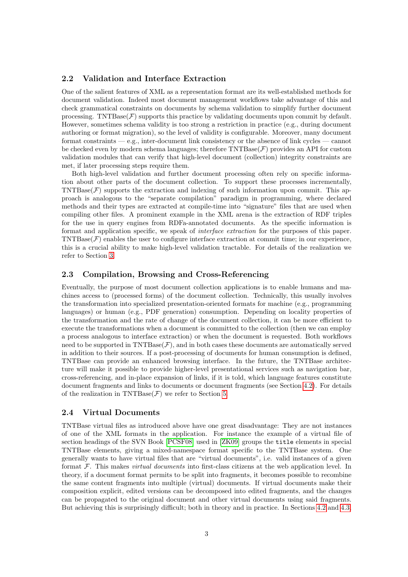### 2.2 Validation and Interface Extraction

One of the salient features of XML as a representation format are its well-established methods for document validation. Indeed most document management workflows take advantage of this and check grammatical constraints on documents by schema validation to simplify further document processing. TNTBase $(F)$  supports this practice by validating documents upon commit by default. However, sometimes schema validity is too strong a restriction in practice (e.g., during document authoring or format migration), so the level of validity is configurable. Moreover, many document format constraints — e.g., inter-document link consistency or the absence of link cycles — cannot be checked even by modern schema languages; therefore  $\text{TNTBase}(\mathcal{F})$  provides an API for custom validation modules that can verify that high-level document (collection) integrity constraints are met, if later processing steps require them.

Both high-level validation and further document processing often rely on specific information about other parts of the document collection. To support these processes incrementally,  $\text{TNTBase}(\mathcal{F})$  supports the extraction and indexing of such information upon commit. This approach is analogous to the "separate compilation" paradigm in programming, where declared methods and their types are extracted at compile-time into "signature" files that are used when compiling other files. A prominent example in the XML arena is the extraction of RDF triples for the use in query engines from RDFa-annotated documents. As the specific information is format and application specific, we speak of interface extraction for the purposes of this paper.  $\text{TNTBase}(\mathcal{F})$  enables the user to configure interface extraction at commit time; in our experience, this is a crucial ability to make high-level validation tractable. For details of the realization we refer to Section [3.](#page-3-0)

#### 2.3 Compilation, Browsing and Cross-Referencing

Eventually, the purpose of most document collection applications is to enable humans and machines access to (processed forms) of the document collection. Technically, this usually involves the transformation into specialized presentation-oriented formats for machine (e.g., programming languages) or human (e.g., PDF generation) consumption. Depending on locality properties of the transformation and the rate of change of the document collection, it can be more efficient to execute the transformations when a document is committed to the collection (then we can employ a process analogous to interface extraction) or when the document is requested. Both workflows need to be supported in  $\text{TNTBase}(\mathcal{F})$ , and in both cases these documents are automatically served in addition to their sources. If a post-processing of documents for human consumption is defined, TNTBase can provide an enhanced browsing interface. In the future, the TNTBase architecture will make it possible to provide higher-level presentational services such as navigation bar, cross-referencing, and in-place expansion of links, if it is told, which language features constitute document fragments and links to documents or document fragments (see Section [4.2\)](#page-7-0). For details of the realization in TNTBase( $\mathcal{F}$ ) we refer to Section [5.](#page-11-0)

#### 2.4 Virtual Documents

TNTBase virtual files as introduced above have one great disadvantage: They are not instances of one of the XML formats in the application. For instance the example of a virtual file of section headings of the SVN Book [\[PCSF08\]](#page-14-3) used in [\[ZK09\]](#page-14-0) groups the title elements in special TNTBase elements, giving a mixed-namespace format specific to the TNTBase system. One generally wants to have virtual files that are "virtual documents", i.e. valid instances of a given format  $\mathcal F$ . This makes *virtual documents* into first-class citizens at the web application level. In theory, if a document format permits to be split into fragments, it becomes possible to recombine the same content fragments into multiple (virtual) documents. If virtual documents make their composition explicit, edited versions can be decomposed into edited fragments, and the changes can be propagated to the original document and other virtual documents using said fragments. But achieving this is surprisingly difficult; both in theory and in practice. In Sections [4.2](#page-7-0) and [4.3,](#page-10-0)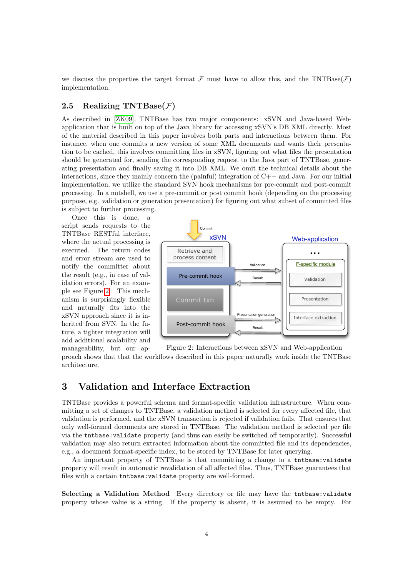we discuss the properties the target format F must have to allow this, and the TNTBase( $\mathcal F$ ) implementation.

### 2.5 Realizing TNTBase $(F)$

As described in [\[ZK09\]](#page-14-0), TNTBase has two major components: xSVN and Java-based Webapplication that is built on top of the Java library for accessing xSVN's DB XML directly. Most of the material described in this paper involves both parts and interactions between them. For instance, when one commits a new version of some XML documents and wants their presentation to be cached, this involves committing files in xSVN, figuring out what files the presentation should be generated for, sending the corresponding request to the Java part of TNTBase, generating presentation and finally saving it into DB XML. We omit the technical details about the interactions, since they mainly concern the (painful) integration of  $C++$  and Java. For our initial implementation, we utilize the standard SVN hook mechanisms for pre-commit and post-commit processing. In a nutshell, we use a pre-commit or post commit hook (depending on the processing purpose, e.g. validation or generation presentation) for figuring out what subset of committed files is subject to further processing.

Once this is done, a script sends requests to the TNTBase RESTful interface, where the actual processing is executed. The return codes and error stream are used to notify the committer about the result (e.g., in case of validation errors). For an example see Figure [2.](#page-3-1) This mechanism is surprisingly flexible and naturally fits into the xSVN approach since it is inherited from SVN. In the future, a tighter integration will add additional scalability and

<span id="page-3-1"></span>

Figure 2: Interactions between xSVN and Web-application manageability, but our approach shows that that the workflows described in this paper naturally work inside the TNTBase architecture.

# <span id="page-3-0"></span>3 Validation and Interface Extraction

TNTBase provides a powerful schema and format-specific validation infrastructure. When committing a set of changes to TNTBase, a validation method is selected for every affected file, that validation is performed, and the xSVN transaction is rejected if validation fails. That ensures that only well-formed documents are stored in TNTBase. The validation method is selected per file via the tntbase:validate property (and thus can easily be switched off temporarily). Successful validation may also return extracted information about the committed file and its dependencies, e.g., a document format-specific index, to be stored by TNTBase for later querying.

An important property of TNTBase is that committing a change to a tntbase:validate property will result in automatic revalidation of all affected files. Thus, TNTBase guarantees that files with a certain tntbase:validate property are well-formed.

Selecting a Validation Method Every directory or file may have the tntbase:validate property whose value is a string. If the property is absent, it is assumed to be empty. For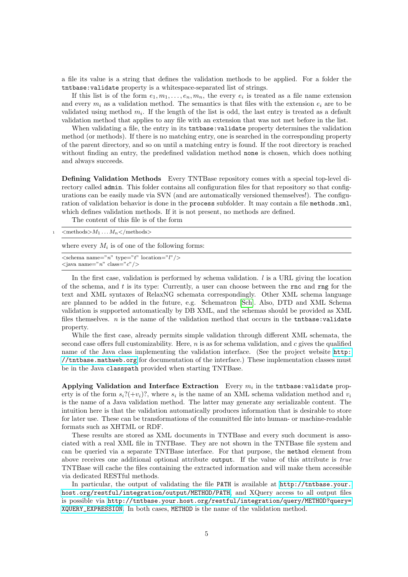a file its value is a string that defines the validation methods to be applied. For a folder the tntbase:validate property is a whitespace-separated list of strings.

If this list is of the form  $e_1, m_1, \ldots, e_n, m_n$ , the every  $e_i$  is treated as a file name extension and every  $m_i$  as a validation method. The semantics is that files with the extension  $e_i$  are to be validated using method  $m_i$ . If the length of the list is odd, the last entry is treated as a default validation method that applies to any file with an extension that was not met before in the list.

When validating a file, the entry in its **that** the statistical property determines the validation method (or methods). If there is no matching entry, one is searched in the corresponding property of the parent directory, and so on until a matching entry is found. If the root directory is reached without finding an entry, the predefined validation method none is chosen, which does nothing and always succeeds.

Defining Validation Methods Every TNTBase repository comes with a special top-level directory called admin. This folder contains all configuration files for that repository so that configurations can be easily made via SVN (and are automatically versioned themselves!). The configuration of validation behavior is done in the **process** subfolder. It may contain a file methods.xml, which defines validation methods. If it is not present, no methods are defined.

The content of this file is of the form

|  | $\langle \text{methods} \rangle M_1 \dots M_n \langle \text{methods} \rangle$ |  |  |
|--|-------------------------------------------------------------------------------|--|--|
|--|-------------------------------------------------------------------------------|--|--|

where every  $M_i$  is of one of the following forms:

| $\leq$ schema name="n" type="t" location="l" $\geq$ |  |
|-----------------------------------------------------|--|
| $\langle$ java name="n" class="c"/>                 |  |

In the first case, validation is performed by schema validation.  $l$  is a URL giving the location of the schema, and t is its type: Currently, a user can choose between the rnc and rng for the text and XML syntaxes of RelaxNG schemata correspondingly. Other XML schema language are planned to be added in the future, e.g. Schematron [\[Sch\]](#page-14-8). Also, DTD and XML Schema validation is supported automatically by DB XML, and the schemas should be provided as XML files themselves.  $n$  is the name of the validation method that occurs in the  $intbase:validate$ property.

While the first case, already permits simple validation through different XML schemata, the second case offers full customizability. Here,  $n$  is as for schema validation, and c gives the qualified name of the Java class implementing the validation interface. (See the project website [http:](http://tntbase.mathweb.org) [//tntbase.mathweb.org](http://tntbase.mathweb.org) for documentation of the interface.) These implementation classes must be in the Java classpath provided when starting TNTBase.

Applying Validation and Interface Extraction Every  $m_i$  in the tntbase: validate property is of the form  $s_i?(+v_i)?$ , where  $s_i$  is the name of an XML schema validation method and  $v_i$ is the name of a Java validation method. The latter may generate any serializable content. The intuition here is that the validation automatically produces information that is desirable to store for later use. These can be transformations of the committed file into human- or machine-readable formats such as XHTML or RDF.

These results are stored as XML documents in TNTBase and every such document is associated with a real XML file in TNTBase. They are not shown in the TNTBase file system and can be queried via a separate TNTBase interface. For that purpose, the method element from above receives one additional optional attribute output. If the value of this attribute is true TNTBase will cache the files containing the extracted information and will make them accessible via dedicated RESTful methods.

In particular, the output of validating the file PATH is available at [http://tntbase.your.](http://tntbase.your.host.org/restful/integration/output/METHOD/PATH) [host.org/restful/integration/output/METHOD/PATH](http://tntbase.your.host.org/restful/integration/output/METHOD/PATH), and XQuery access to all output files is possible via [http://tntbase.your.host.org/restful/integration/query/METHOD?query=](http://tntbase.your.host.org/restful/integration/query/METHOD?query=XQUERY_EXPRESSION) [XQUERY\\_EXPRESSION](http://tntbase.your.host.org/restful/integration/query/METHOD?query=XQUERY_EXPRESSION). In both cases, METHOD is the name of the validation method.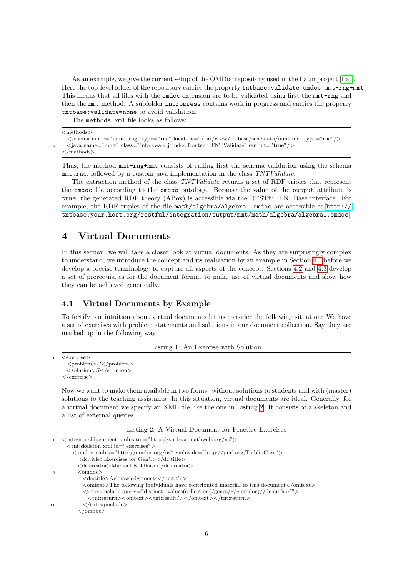As an example, we give the current setup of the OMDoc repository used in the Latin project [\[Lat\]](#page-14-9). Here the top-level folder of the repository carries the property tntbase: validate=omdoc mmt-rng+mmt. This means that all files with the omdoc extension are to be validated using first the mmt-rng and then the mmt method. A subfolder inprogress contains work in progress and carries the property tntbase:validate=none to avoid validation.

The methods.xml file looks as follows:

```
<methods>
```

```
<schema name="mmt−rng" type="rnc" location="/var/www/tntbase/schemata/mmt.rnc" type="rnc"/>
  \verb|<java name="max" class="info.kware.joindoc.frontend.TNTValidate" output="true" />
</methods>
```
Thus, the method mmt-rng+mmt consists of calling first the schema validation using the schema mmt.rnc, followed by a custom java implementation in the class TNTValidate.

The extraction method of the class TNTValidate returns a set of RDF triples that represent the omdoc file according to the omdoc ontology. Because the value of the output attribute is true, the generated RDF theory (ABox) is accessible via the RESTful TNTBase interface. For example, the RDF triples of the file math/algebra/algebra1.omdoc are accessible as [http://](http://tntbase.your.host.org/restful/integration/output/mmt/math/algebra/algebra1.omdoc) [tntbase.your.host.org/restful/integration/output/mmt/math/algebra/algebra1.omdoc](http://tntbase.your.host.org/restful/integration/output/mmt/math/algebra/algebra1.omdoc).

# <span id="page-5-0"></span>4 Virtual Documents

In this section, we will take a closer look at virtual documents: As they are surprisingly complex to understand, we introduce the concept and its realization by an example in Section [4.1](#page-5-1) before we develop a precise terminology to capture all aspects of the concept: Sections [4.2](#page-7-0) and [4.3](#page-10-0) develop a set of prerequisites for the document format to make use of virtual documents and show how they can be achieved generically.

### <span id="page-5-1"></span>4.1 Virtual Documents by Example

To fortify our intuition about virtual documents let us consider the following situation: We have a set of exercises with problem statements and solutions in our document collection. Say they are marked up in the following way:

Listing 1: An Exercise with Solution

```
\langleexercise\rangle<problem>P</problem>\langlesolution>>\langlesolution>\langle/exercise>
```
Now we want to make them available in two forms: without solutions to students and with (master) solutions to the teaching assistants. In this situation, virtual documents are ideal. Generally, for a virtual document we specify an XML file like the one in Listing [2.](#page-5-2) It consists of a skeleton and a list of external queries.

Listing 2: A Virtual Document for Practice Exercises

<span id="page-5-2"></span>

| $\langle$ omtext>The following individuals have contributed material to this document $\langle$ /omtext>                                   |
|--------------------------------------------------------------------------------------------------------------------------------------------|
| $\langle \text{tnt:xqinclude query} = "distinct-values$ (collection $\frac{1}{\text{gencs}} \times \frac{1}{\text{ex}}$ ) / dc:author $">$ |
|                                                                                                                                            |
|                                                                                                                                            |
|                                                                                                                                            |
|                                                                                                                                            |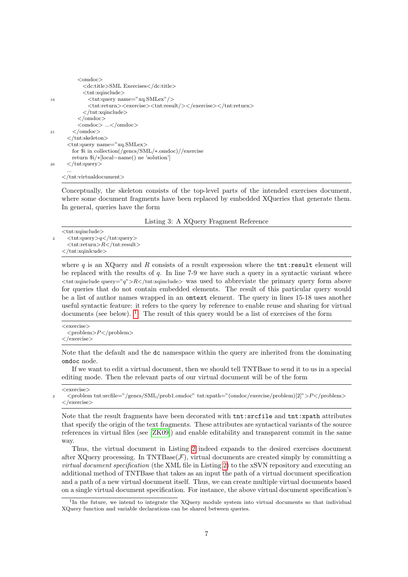```
<omdoc>
                <dc:title>SML Exercises</dc:title>
                <tnt:xqinclude>
16 <tnt:query name="xq.SMLex"/>
                  \langle \text{tnt:return}\rangle \langle \text{exercise}\rangle \langle \text{tnt:result}\rangle \rangle \langle \text{exercise}\rangle \langle \text{tnt:return}\rangle\langletnt:xqinclude\rangle</omdoc>
             <omdoc> ...</omdoc>
21 \le/omdoc>
        </tnt:skeleton>
        <tnt:query name="xq.SMLex>
          for $i in collection(/gencs/SML/∗.omdoc)//exercise
          return $i/∗[local−name() ne 'solution']
26 \le \langle \text{Int:query} \rangle...
      \langletnt:virtualdocument\rangle
```
Conceptually, the skeleton consists of the top-level parts of the intended exercises document, where some document fragments have been replaced by embedded XQueries that generate them. In general, queries have the form

Listing 3: A XQuery Fragment Reference

<span id="page-6-1"></span><tnt:xqinclude>  $\langle \text{int:query>}q \langle \text{int:query} \rangle$  $<$ tnt:return $>$  $R$  $<$ /tnt:result $>$ </tnt:xqinlcude>

where  $q$  is an XQuery and  $R$  consists of a result expression where the tnt:result element will be replaced with the results of  $q$ . In line 7-9 we have such a query in a syntactic variant where  $\lt$ tnt:xqinclude query="q">R $\lt$ /tnt:xqinclude> was used to abbreviate the primary query form above for queries that do not contain embedded elements. The result of this particular query would be a list of author names wrapped in an omtext element. The query in lines 15-18 uses another useful syntactic feature: it refers to the query by reference to enable reuse and sharing for virtual documents (see below).  $1$  The result of this query would be a list of exercises of the form

 $<$ exercise $>$  $<$ problem> $P$  $<$ /problem>  $\langle$ /exercise>

Note that the default and the dc namespace within the query are inherited from the dominating omdoc node.

If we want to edit a virtual document, then we should tell TNTBase to send it to us in a special editing mode. Then the relevant parts of our virtual document will be of the form

 $\epsilon$ exercise $\sim$ 

<sup>2</sup> <problem tnt:srcfile="/gencs/SML/prob1.omdoc" tnt:xpath="(omdoc/exercise/problem)[2]">P </problem>  $\langle$ /exercise $\rangle$ 

Note that the result fragments have been decorated with tnt:srcfile and tnt:xpath attributes that specify the origin of the text fragments. These attributes are syntactical variants of the source references in virtual files (see [\[ZK09\]](#page-14-0)) and enable editability and transparent commit in the same way.

Thus, the virtual document in Listing [2](#page-5-2) indeed expands to the desired exercises document after XQuery processing. In TNTBase $(F)$ , virtual documents are created simply by committing a virtual document specification (the XML file in Listing [2\)](#page-5-2) to the xSVN repository and executing an additional method of TNTBase that takes as an input the path of a virtual document specification and a path of a new virtual document itself. Thus, we can create multiple virtual documents based on a single virtual document specification. For instance, the above virtual document specification's

<span id="page-6-0"></span><sup>&</sup>lt;sup>1</sup>In the future, we intend to integrate the XQuery module system into virtual documents so that individual XQuery function and variable declarations can be shared between queries.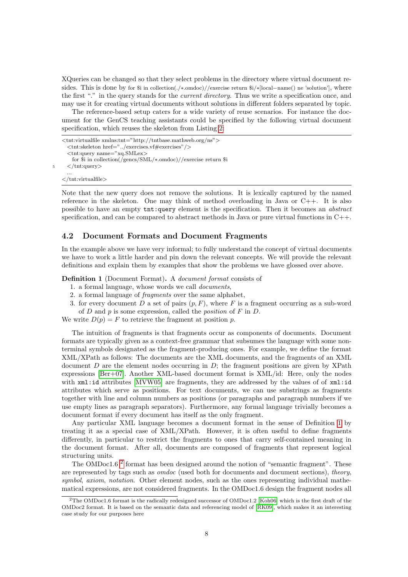XQueries can be changed so that they select problems in the directory where virtual document resides. This is done by for \$i in collection(./∗.omdoc)//exercise return \$i/∗[local–name() ne 'solution'], where the first "." in the query stands for the *current directory*. Thus we write a specification once, and may use it for creating virtual documents without solutions in different folders separated by topic.

The reference-based setup caters for a wide variety of reuse scenarios. For instance the document for the GenCS teaching assistants could be specified by the following virtual document specification, which reuses the skeleton from Listing [2:](#page-5-2)

```
<tnt:virtualfile xmlns:tnt="http://tntbase.mathweb.org/ns">
     <tnt:skeleton href="../exercises.vf#exercises"/>
     <tnt:query name="xq.SMLex>
       for $i in collection(/gencs/SML/∗.omdoc)//exercise return $i
5 \le/tnt:query>
     ...
```
 $\langle$ tnt:virtualfile $>$ 

Note that the new query does not remove the solutions. It is lexically captured by the named reference in the skeleton. One may think of method overloading in Java or  $C_{++}$ . It is also possible to have an empty tnt:query element is the specification. Then it becomes an abstract specification, and can be compared to abstract methods in Java or pure virtual functions in  $C++$ .

#### <span id="page-7-0"></span>4.2 Document Formats and Document Fragments

In the example above we have very informal; to fully understand the concept of virtual documents we have to work a little harder and pin down the relevant concepts. We will provide the relevant definitions and explain them by examples that show the problems we have glossed over above.

<span id="page-7-1"></span>Definition 1 (Document Format). A document format consists of

- 1. a formal language, whose words we call documents,
- 2. a formal language of fragments over the same alphabet,
- 3. for every document D a set of pairs  $(p, F)$ , where F is a fragment occurring as a sub-word of  $D$  and  $p$  is some expression, called the *position* of  $F$  in  $D$ .

We write  $D(p) = F$  to retrieve the fragment at position p.

The intuition of fragments is that fragments occur as components of documents. Document formats are typically given as a context-free grammar that subsumes the language with some nonterminal symbols designated as the fragment-producing ones. For example, we define the format XML/XPath as follows: The documents are the XML documents, and the fragments of an XML document  $D$  are the element nodes occurring in  $D$ ; the fragment positions are given by XPath expressions [\[Ber+07\]](#page-13-1). Another XML-based document format is XML/id: Here, only the nodes with  $xml:id$  attributes  $\text{MVW05}$  are fragments, they are addressed by the values of of  $xml:id$ attributes which serve as positions. For text documents, we can use substrings as fragments together with line and column numbers as positions (or paragraphs and paragraph numbers if we use empty lines as paragraph separators). Furthermore, any formal language trivially becomes a document format if every document has itself as the only fragment.

Any particular XML language becomes a document format in the sense of Definition [1](#page-7-1) by treating it as a special case of XML/XPath. However, it is often useful to define fragments differently, in particular to restrict the fragments to ones that carry self-contained meaning in the document format. After all, documents are composed of fragments that represent logical structuring units.

The OMDoc1.6<sup>[2](#page-7-2)</sup> format has been designed around the notion of "semantic fragment". These are represented by tags such as omdoc (used both for documents and document sections), theory, symbol, axiom, notation. Other element nodes, such as the ones representing individual mathematical expressions, are not considered fragments. In the OMDoc1.6 design the fragment nodes all

<span id="page-7-2"></span><sup>2</sup>The OMDoc1.6 format is the radically redesigned successor of OMDoc1.2 [\[Koh06\]](#page-14-5) which is the first draft of the OMDoc2 format. It is based on the semantic data and referencing model of [\[RK09\]](#page-14-11), which makes it an interesting case study for our purposes here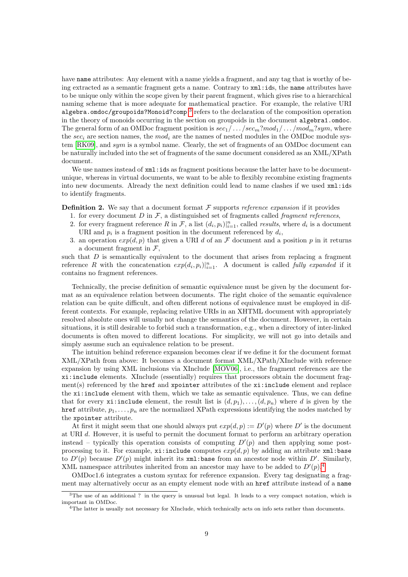have name attributes: Any element with a name yields a fragment, and any tag that is worthy of being extracted as a semantic fragment gets a name. Contrary to xml:ids, the name attributes have to be unique only within the scope given by their parent fragment, which gives rise to a hierarchical naming scheme that is more adequate for mathematical practice. For example, the relative URI algebra.omdoc/groupoids?Monoid?comp<sup>[3](#page-8-0)</sup> refers to the declaration of the composition operation in the theory of monoids occurring in the section on groupoids in the document algebra1.omdoc. The general form of an OMDoc fragment position is  $sec_1/\dots/sec_m?mod_1/\dots/mod_m?sym$ , where the sec<sub>i</sub> are section names, the mod<sub>i</sub> are the names of nested modules in the OMDoc module system [\[RK09\]](#page-14-11), and sym is a symbol name. Clearly, the set of fragments of an OMDoc document can be naturally included into the set of fragments of the same document considered as an XML/XPath document.

We use names instead of  $xml:ids$  as fragment positions because the latter have to be documentunique, whereas in virtual documents, we want to be able to flexibly recombine existing fragments into new documents. Already the next definition could lead to name clashes if we used xml:ids to identify fragments.

**Definition 2.** We say that a document format  $\mathcal F$  supports reference expansion if it provides

- 1. for every document  $D$  in  $\mathcal{F}$ , a distinguished set of fragments called *fragment references*,
- 2. for every fragment reference R in F, a list  $(d_i, p_i)|_{i=1}^n$ , called *results*, where  $d_i$  is a document URI and  $p_i$  is a fragment position in the document referenced by  $d_i$ ,
- 3. an operation  $exp(d, p)$  that given a URI d of an F document and a position p in it returns a document fragment in  $\mathcal{F}$ ,

such that  $D$  is semantically equivalent to the document that arises from replacing a fragment reference R with the concatenation  $exp(d_i, p_i)|_{i=1}^n$ . A document is called fully expanded if it contains no fragment references.

Technically, the precise definition of semantic equivalence must be given by the document format as an equivalence relation between documents. The right choice of the semantic equivalence relation can be quite difficult, and often different notions of equivalence must be employed in different contexts. For example, replacing relative URIs in an XHTML document with appropriately resolved absolute ones will usually not change the semantics of the document. However, in certain situations, it is still desirable to forbid such a transformation, e.g., when a directory of inter-linked documents is often moved to different locations. For simplicity, we will not go into details and simply assume such an equivalence relation to be present.

The intuition behind reference expansion becomes clear if we define it for the document format XML/XPath from above: It becomes a document format XML/XPath/XInclude with reference expansion by using XML inclusions via XInclude [\[MOV06\]](#page-14-12), i.e., the fragment references are the xi:include elements. XInclude (essentially) requires that processors obtain the document frag $ment(s)$  referenced by the **href** and **xpointer** attributes of the  $xi$ **: include** element and replace the xi:include element with them, which we take as semantic equivalence. Thus, we can define that for every **xi:include** element, the result list is  $(d, p_1), \ldots, (d, p_n)$  where d is given by the href attribute,  $p_1, \ldots, p_n$  are the normalized XPath expressions identifying the nodes matched by the xpointer attribute.

At first it might seem that one should always put  $exp(d, p) := D'(p)$  where D' is the document at URI d. However, it is useful to permit the document format to perform an arbitrary operation instead – typically this operation consists of computing  $D'(p)$  and then applying some postprocessing to it. For example,  $x_i$ :include computes  $exp(d, p)$  by adding an attribute  $xml$ :base to  $D'(p)$  because  $D'(p)$  might inherit its xml:base from an ancestor node within  $D'$ . Similarly, XML namespace attributes inherited from an ancestor may have to be added to  $D'(p)$ .<sup>[4](#page-8-1)</sup>

OMDoc1.6 integrates a custom syntax for reference expansion. Every tag designating a fragment may alternatively occur as an empty element node with an href attribute instead of a name

<span id="page-8-0"></span><sup>&</sup>lt;sup>3</sup>The use of an additional ? in the query is unusual but legal. It leads to a very compact notation, which is important in OMDoc.

<span id="page-8-1"></span><sup>&</sup>lt;sup>4</sup>The latter is usually not necessary for XInclude, which technically acts on info sets rather than documents.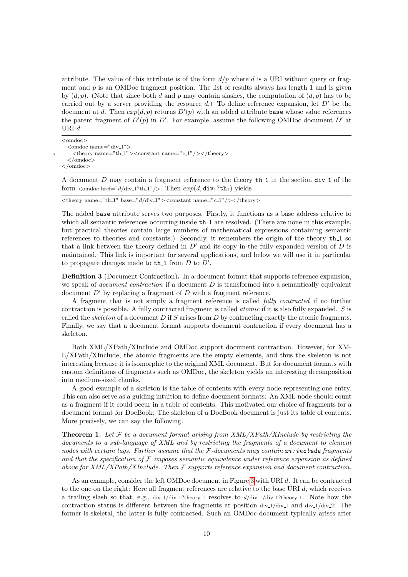attribute. The value of this attribute is of the form  $d/p$  where d is a URI without query or fragment and  $p$  is an OMDoc fragment position. The list of results always has length 1 and is given by  $(d, p)$ . (Note that since both d and p may contain slashes, the computation of  $(d, p)$  has to be carried out by a server providing the resource d.) To define reference expansion, let  $D'$  be the document at d. Then  $exp(d, p)$  returns  $D'(p)$  with an added attribute base whose value references the parent fragment of  $D'(p)$  in  $D'$ . For example, assume the following OMDoc document  $D'$  at URI d:

```
<omdoc>
   \leqomdoc name="div-1">\langle \text{theory name} = \text{"th_1"} \rangle \langle \text{constant name} = \text{"c_1"} / \rangle \langle \text{/theory>}</omdoc>
\langle/omdoc\rangle
```
A document D may contain a fragment reference to the theory  $th_1$  in the section div<sub>1</sub> of the form  $\zeta$  and  $\zeta$  here  $\zeta = d/div$  1?th 1"/>. Then  $exp(d, \text{div}_1?t h_1)$  yields

| $\langle \text{theory name} = \text{"th_1"} \text{base} = \text{"d/div_1"} \rangle \langle \text{constant name} = \text{"c_1"} \rangle \langle \text{theory} \rangle$ |  |
|-----------------------------------------------------------------------------------------------------------------------------------------------------------------------|--|
|-----------------------------------------------------------------------------------------------------------------------------------------------------------------------|--|

The added base attribute serves two purposes. Firstly, it functions as a base address relative to which all semantic references occurring inside  $th_1$  are resolved. (There are none in this example, but practical theories contain large numbers of mathematical expressions containing semantic references to theories and constants.) Secondly, it remembers the origin of the theory th<sub>1</sub> so that a link between the theory defined in  $D'$  and its copy in the fully expanded version of  $D$  is maintained. This link is important for several applications, and below we will use it in particular to propagate changes made to  $th_1$  from D to D'.

Definition 3 (Document Contraction). In a document format that supports reference expansion, we speak of *document contraction* if a document  $D$  is transformed into a semantically equivalent document  $D'$  by replacing a fragment of D with a fragment reference.

A fragment that is not simply a fragment reference is called fully contracted if no further contraction is possible. A fully contracted fragment is called atomic if it is also fully expanded. S is called the skeleton of a document  $D$  if  $S$  arises from  $D$  by contracting exactly the atomic fragments. Finally, we say that a document format supports document contraction if every document has a skeleton.

Both XML/XPath/XInclude and OMDoc support document contraction. However, for XM-L/XPath/XInclude, the atomic fragments are the empty elements, and thus the skeleton is not interesting because it is isomorphic to the original XML document. But for document formats with custom definitions of fragments such as OMDoc, the skeleton yields an interesting decomposition into medium-sized chunks.

A good example of a skeleton is the table of contents with every node representing one entry. This can also serve as a guiding intuition to define document formats: An XML node should count as a fragment if it could occur in a table of contents. This motivated our choice of fragments for a document format for DocBook: The skeleton of a DocBook document is just its table of contents. More precisely, we can say the following.

**Theorem 1.** Let F be a document format arising from  $XML/XPath/XI$ nclude by restricting the documents to a sub-language of XML and by restricting the fragments of a document to element nodes with certain tags. Further assume that the  $\mathcal{F}\text{-} documents$  may contain  $\boldsymbol{x}\text{:}include$  fragments and that the specification of  $\mathcal F$  imposes semantic equivalence under reference expansion as defined above for  $XML/XPath/XI$ nclude. Then  $\mathcal F$  supports reference expansion and document contraction.

As an example, consider the left OMDoc document in Figure [3](#page-10-1) with URI d. It can be contracted to the one on the right: Here all fragment references are relative to the base URI  $d$ , which receives a trailing slash so that, e.g.,  $div_1/div_1?$ theory 1 resolves to  $d/div_1/div_1?$ theory 1. Note how the contraction status is different between the fragments at position  $div_1/div_1$  and  $div_1/div_2$ : The former is skeletal, the latter is fully contracted. Such an OMDoc document typically arises after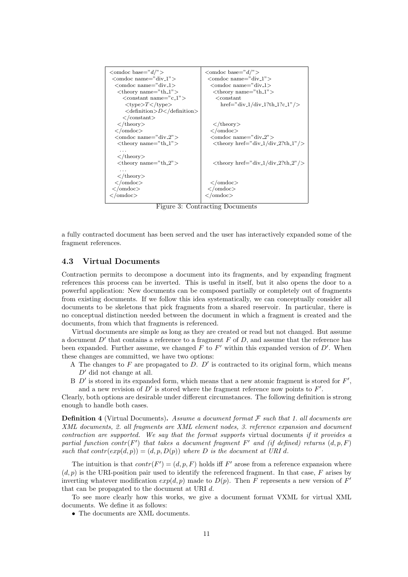

<span id="page-10-1"></span>Figure 3: Contracting Documents

a fully contracted document has been served and the user has interactively expanded some of the fragment references.

#### <span id="page-10-0"></span>4.3 Virtual Documents

Contraction permits to decompose a document into its fragments, and by expanding fragment references this process can be inverted. This is useful in itself, but it also opens the door to a powerful application: New documents can be composed partially or completely out of fragments from existing documents. If we follow this idea systematically, we can conceptually consider all documents to be skeletons that pick fragments from a shared reservoir. In particular, there is no conceptual distinction needed between the document in which a fragment is created and the documents, from which that fragments is referenced.

Virtual documents are simple as long as they are created or read but not changed. But assume a document  $D'$  that contains a reference to a fragment F of D, and assume that the reference has been expanded. Further assume, we changed  $F$  to  $F'$  within this expanded version of  $D'$ . When these changes are committed, we have two options:

- A The changes to  $F$  are propagated to  $D$ .  $D'$  is contracted to its original form, which means  $D'$  did not change at all.
- B  $D'$  is stored in its expanded form, which means that a new atomic fragment is stored for  $F'$ , and a new revision of  $D'$  is stored where the fragment reference now points to  $F'$ .

Clearly, both options are desirable under different circumstances. The following definition is strong enough to handle both cases.

**Definition 4** (Virtual Documents). Assume a document format  $\mathcal F$  such that 1. all documents are XML documents, 2. all fragments are XML element nodes, 3. reference expansion and document contraction are supported. We say that the format supports virtual documents if it provides a partial function contr(F') that takes a document fragment F' and (if defined) returns  $(d, p, F)$ such that  $contr(exp(d, p)) = (d, p, D(p))$  where D is the document at URI d.

The intuition is that  $contr(F') = (d, p, F)$  holds iff F' arose from a reference expansion where  $(d, p)$  is the URI-position pair used to identify the referenced fragment. In that case, F arises by inverting whatever modification  $exp(d, p)$  made to  $D(p)$ . Then F represents a new version of F' that can be propagated to the document at URI d.

To see more clearly how this works, we give a document format VXML for virtual XML documents. We define it as follows:

• The documents are XML documents.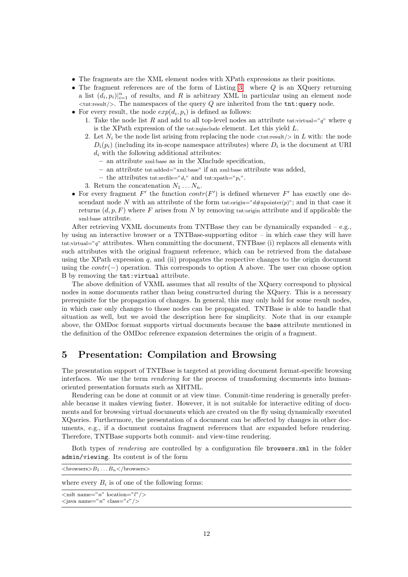- The fragments are the XML element nodes with XPath expressions as their positions.
- The fragment references are of the form of Listing [3.](#page-6-1) where  $Q$  is an XQuery returning a list  $(d_i, p_i)|_{i=1}^n$  of results, and R is arbitrary XML in particular using an element node  $\lt$ tht:result/ $>$ . The namespaces of the query Q are inherited from the tnt:query node.
- For every result, the node  $exp(d_i, p_i)$  is defined as follows:
	- 1. Take the node list R and add to all top-level nodes an attribute tnt:virtual=" $q$ " where q is the XPath expression of the tnt:xqinclude element. Let this yield L.
	- 2. Let  $N_i$  be the node list arising from replacing the node  $\langle \text{ent:result/> in } L \text{ with: the node }\rangle$  $D_i(p_i)$  (including its in-scope namespace attributes) where  $D_i$  is the document at URI  $d_i$  with the following additional attributes:
		- an attribute xml:base as in the XInclude specification,
		- an attribute tnt:added="xml:base" if an xml:base attribute was added,
		- the attributes tht:srcfile=" $d_i$ " and tht:xpath=" $p_i$ ".
	- 3. Return the concatenation  $N_1 \ldots N_n$ .
- For every fragment  $F'$  the function  $contr(F')$  is defined whenever  $F'$  has exactly one descendant node N with an attribute of the form tnt:origin=" $d\#$ xpointer(p)"; and in that case it returns  $(d, p, F)$  where F arises from N by removing the origin attribute and if applicable the xml:base attribute.

After retrieving VXML documents from TNTBase they can be dynamically expanded  $-$  e.g., by using an interactive browser or a TNTBase-supporting editor – in which case they will have tnt:virtual=" $q$ " attributes. When committing the document, TNTBase (i) replaces all elements with such attributes with the original fragment reference, which can be retrieved from the database using the XPath expression q, and (ii) propagates the respective changes to the origin document using the *contr*( $-$ ) operation. This corresponds to option A above. The user can choose option B by removing the tnt:virtual attribute.

The above definition of VXML assumes that all results of the XQuery correspond to physical nodes in some documents rather than being constructed during the XQuery. This is a necessary prerequisite for the propagation of changes. In general, this may only hold for some result nodes, in which case only changes to those nodes can be propagated. TNTBase is able to handle that situation as well, but we avoid the description here for simplicity. Note that in our example above, the OMDoc format supports virtual documents because the base attribute mentioned in the definition of the OMDoc reference expansion determines the origin of a fragment.

### <span id="page-11-0"></span>5 Presentation: Compilation and Browsing

The presentation support of TNTBase is targeted at providing document format-specific browsing interfaces. We use the term rendering for the process of transforming documents into humanoriented presentation formats such as XHTML.

Rendering can be done at commit or at view time. Commit-time rendering is generally preferable because it makes viewing faster. However, it is not suitable for interactive editing of documents and for browsing virtual documents which are created on the fly using dynamically executed XQueries. Furthermore, the presentation of a document can be affected by changes in other documents, e.g., if a document contains fragment references that are expanded before rendering. Therefore, TNTBase supports both commit- and view-time rendering.

Both types of *rendering* are controlled by a configuration file **browsers**.xml in the folder admin/viewing. Its content is of the form

| $\langle$ browsers $\geq B_1 \dots B_n \langle$ /browsers $\geq$                   |  |
|------------------------------------------------------------------------------------|--|
| where every $B_i$ is of one of the following forms:                                |  |
| $\langle x \rangle$ name="n" location="l"/><br>$\langle$ java name="n" class="c"/> |  |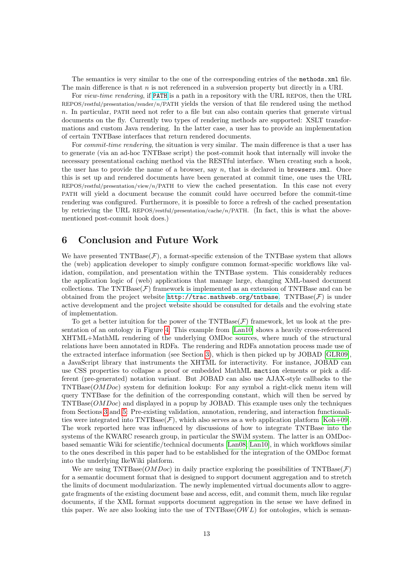The semantics is very similar to the one of the corresponding entries of the methods.xml file. The main difference is that  $n$  is not referenced in a subversion property but directly in a URI.

For view-time rendering, if <PATH> is a path in a repository with the URL REPOS, then the URL REPOS/restful/presentation/render/n/PATH yields the version of that file rendered using the method n. In particular, PATH need not refer to a file but can also contain queries that generate virtual documents on the fly. Currently two types of rendering methods are supported: XSLT transformations and custom Java rendering. In the latter case, a user has to provide an implementation of certain TNTBase interfaces that return rendered documents.

For *commit-time rendering*, the situation is very similar. The main difference is that a user has to generate (via an ad-hoc TNTBase script) the post-commit hook that internally will invoke the necessary presentational caching method via the RESTful interface. When creating such a hook, the user has to provide the name of a browser, say  $n$ , that is declared in **browsers**.xml. Once this is set up and rendered documents have been generated at commit time, one uses the URL REPOS/restful/presentation/view/n/PATH to view the cached presentation. In this case not every PATH will yield a document because the commit could have occurred before the commit-time rendering was configured. Furthermore, it is possible to force a refresh of the cached presentation by retrieving the URL REPOS/restful/presentation/cache/n/PATH. (In fact, this is what the abovementioned post-commit hook does.)

### 6 Conclusion and Future Work

We have presented  $\text{TNTBase}(\mathcal{F})$ , a format-specific extension of the TNTBase system that allows the (web) application developer to simply configure common format-specific workflows like validation, compilation, and presentation within the TNTBase system. This considerably reduces the application logic of (web) applications that manage large, changing XML-based document collections. The  $\text{TNTBase}(\mathcal{F})$  framework is implemented as an extension of TNTBase and can be obtained from the project website  $http://trace.mathweb.org/tntbase$ . TNTBase( $\mathcal F$ ) is under active development and the project website should be consulted for details and the evolving state of implementation.

To get a better intuition for the power of the TNTBase( $\mathcal{F}$ ) framework, let us look at the presentation of an ontology in Figure [4.](#page-13-2) This example from [\[Lan10\]](#page-14-13) shows a heavily cross-referenced XHTML+MathML rendering of the underlying OMDoc sources, where much of the structural relations have been annotated in RDFa. The rendering and RDFa annotation process made use of the extracted interface information (see Section [3\)](#page-3-0), which is then picked up by JOBAD [\[GLR09\]](#page-13-3), a JavaScript library that instruments the XHTML for interactivity. For instance, JOBAD can use CSS properties to collapse a proof or embedded MathML maction elements or pick a different (pre-generated) notation variant. But JOBAD can also use AJAX-style callbacks to the TNTBase(OMDoc) system for definition lookup: For any symbol a right-click menu item will query TNTBase for the definition of the corresponding constant, which will then be served by TNTBase(OMDoc) and displayed in a popup by JOBAD. This example uses only the techniques from Sections [3](#page-3-0) and [5:](#page-11-0) Pre-existing validation, annotation, rendering, and interaction functionalities were integrated into TNTBase( $\mathcal{F}$ ), which also serves as a web application platform [\[Koh+09\]](#page-14-14). The work reported here was influenced by discussions of how to integrate TNTBase into the systems of the KWARC research group, in particular the SWiM system. The latter is an OMDocbased semantic Wiki for scientific/technical documents [\[Lan08;](#page-14-15) [Lan10\]](#page-14-13), in which workflows similar to the ones described in this paper had to be established for the integration of the OMDoc format into the underlying IkeWiki platform.

We are using TNTBase( $\overline{OMDoc}$ ) in daily practice exploring the possibilities of TNTBase( $\mathcal F$ ) for a semantic document format that is designed to support document aggregation and to stretch the limits of document modularization. The newly implemented virtual documents allow to aggregate fragments of the existing document base and access, edit, and commit them, much like regular documents, if the XML format supports document aggregation in the sense we have defined in this paper. We are also looking into the use of  $\text{TYTBase}(OWL)$  for ontologies, which is seman-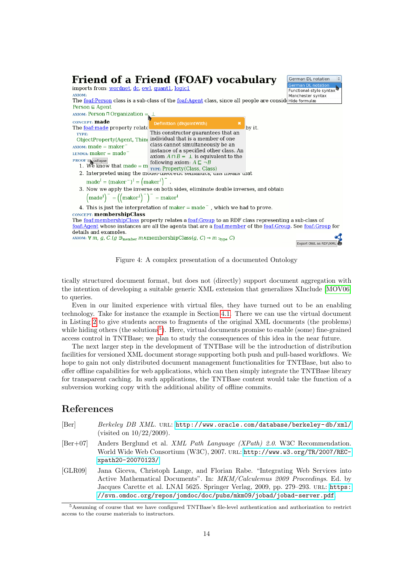

<span id="page-13-2"></span>Figure 4: A complex presentation of a documented Ontology

tically structured document format, but does not (directly) support document aggregation with the intention of developing a suitable generic XML extension that generalizes XInclude [\[MOV06\]](#page-14-12) to queries.

Even in our limited experience with virtual files, they have turned out to be an enabling technology. Take for instance the example in Section [4.1.](#page-5-1) There we can use the virtual document in Listing [2](#page-5-2) to give students access to fragments of the original XML documents (the problems) while hiding others (the solutions<sup>[5](#page-13-4)</sup>). Here, virtual documents promise to enable (some) fine-grained access control in TNTBase; we plan to study the consequences of this idea in the near future.

The next larger step in the development of TNTBase will be the introduction of distribution facilities for versioned XML document storage supporting both push and pull-based workflows. We hope to gain not only distributed document management functionalities for TNTBase, but also to offer offline capabilities for web applications, which can then simply integrate the TNTBase library for transparent caching. In such applications, the TNTBase content would take the function of a subversion working copy with the additional ability of offline commits.

### References

- <span id="page-13-0"></span>[Ber] Berkeley DB XML. URL: http://www.oracle.com/database/berkeley-db/xml/ (visited on 10/22/2009).
- <span id="page-13-1"></span>[Ber+07] Anders Berglund et al. XML Path Language (XPath) 2.0. W3C Recommendation. World Wide Web Consortium (W3C), 2007. url: [http://www.w3.org/TR/2007/REC](http://www.w3.org/TR/2007/REC-xpath20-20070123/)[xpath20-20070123/](http://www.w3.org/TR/2007/REC-xpath20-20070123/).
- <span id="page-13-3"></span>[GLR09] Jana Giceva, Christoph Lange, and Florian Rabe. "Integrating Web Services into Active Mathematical Documents". In: MKM/Calculemus 2009 Proceedings. Ed. by Jacques Carette et al. LNAI 5625. Springer Verlag, 2009, pp. 279–293. url: [https:](https://svn.omdoc.org/repos/jomdoc/doc/pubs/mkm09/jobad/jobad-server.pdf) [//svn.omdoc.org/repos/jomdoc/doc/pubs/mkm09/jobad/jobad-server.pdf](https://svn.omdoc.org/repos/jomdoc/doc/pubs/mkm09/jobad/jobad-server.pdf).

<span id="page-13-4"></span><sup>5</sup>Assuming of course that we have configured TNTBase's file-level authentication and authorization to restrict access to the course materials to instructors.